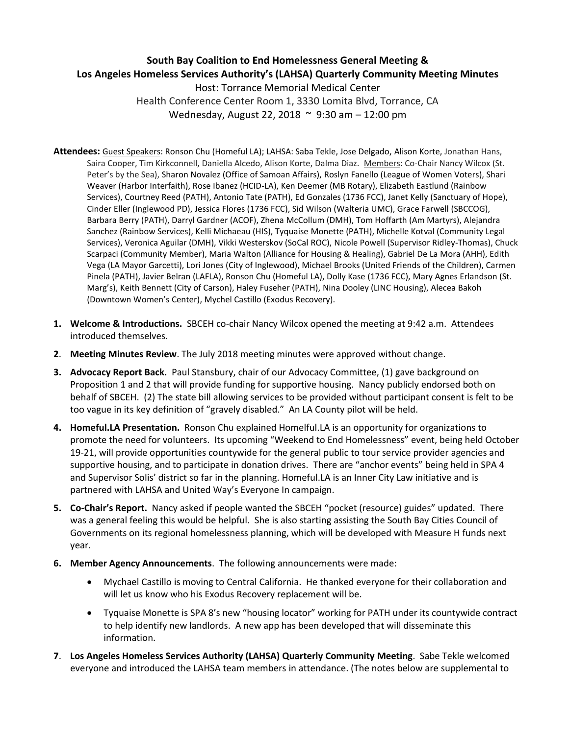## **South Bay Coalition to End Homelessness General Meeting & Los Angeles Homeless Services Authority's (LAHSA) Quarterly Community Meeting Minutes** Host: Torrance Memorial Medical Center Health Conference Center Room 1, 3330 Lomita Blvd, Torrance, CA Wednesday, August 22, 2018 ~ 9:30 am – 12:00 pm

- **Attendees:** Guest Speakers: Ronson Chu (Homeful LA); LAHSA: Saba Tekle, Jose Delgado, Alison Korte, Jonathan Hans, Saira Cooper, Tim Kirkconnell, Daniella Alcedo, Alison Korte, Dalma Diaz. Members: Co-Chair Nancy Wilcox (St. Peter's by the Sea), Sharon Novalez (Office of Samoan Affairs), Roslyn Fanello (League of Women Voters), Shari Weaver (Harbor Interfaith), Rose Ibanez (HCID-LA), Ken Deemer (MB Rotary), Elizabeth Eastlund (Rainbow Services), Courtney Reed (PATH), Antonio Tate (PATH), Ed Gonzales (1736 FCC), Janet Kelly (Sanctuary of Hope), Cinder Eller (Inglewood PD), Jessica Flores (1736 FCC), Sid Wilson (Walteria UMC), Grace Farwell (SBCCOG), Barbara Berry (PATH), Darryl Gardner (ACOF), Zhena McCollum (DMH), Tom Hoffarth (Am Martyrs), Alejandra Sanchez (Rainbow Services), Kelli Michaeau (HIS), Tyquaise Monette (PATH), Michelle Kotval (Community Legal Services), Veronica Aguilar (DMH), Vikki Westerskov (SoCal ROC), Nicole Powell (Supervisor Ridley-Thomas), Chuck Scarpaci (Community Member), Maria Walton (Alliance for Housing & Healing), Gabriel De La Mora (AHH), Edith Vega (LA Mayor Garcetti), Lori Jones (City of Inglewood), Michael Brooks (United Friends of the Children), Carmen Pinela (PATH), Javier Belran (LAFLA), Ronson Chu (Homeful LA), Dolly Kase (1736 FCC), Mary Agnes Erlandson (St. Marg's), Keith Bennett (City of Carson), Haley Fuseher (PATH), Nina Dooley (LINC Housing), Alecea Bakoh (Downtown Women's Center), Mychel Castillo (Exodus Recovery).
- **1. Welcome & Introductions.** SBCEH co-chair Nancy Wilcox opened the meeting at 9:42 a.m. Attendees introduced themselves.
- **2**. **Meeting Minutes Review**. The July 2018 meeting minutes were approved without change.
- **3. Advocacy Report Back.** Paul Stansbury, chair of our Advocacy Committee, (1) gave background on Proposition 1 and 2 that will provide funding for supportive housing. Nancy publicly endorsed both on behalf of SBCEH. (2) The state bill allowing services to be provided without participant consent is felt to be too vague in its key definition of "gravely disabled." An LA County pilot will be held.
- **4. Homeful.LA Presentation.** Ronson Chu explained Homelful.LA is an opportunity for organizations to promote the need for volunteers. Its upcoming "Weekend to End Homelessness" event, being held October 19-21, will provide opportunities countywide for the general public to tour service provider agencies and supportive housing, and to participate in donation drives. There are "anchor events" being held in SPA 4 and Supervisor Solis' district so far in the planning. Homeful.LA is an Inner City Law initiative and is partnered with LAHSA and United Way's Everyone In campaign.
- **5. Co-Chair's Report.** Nancy asked if people wanted the SBCEH "pocket (resource) guides" updated. There was a general feeling this would be helpful. She is also starting assisting the South Bay Cities Council of Governments on its regional homelessness planning, which will be developed with Measure H funds next year.
- **6. Member Agency Announcements**. The following announcements were made:
	- Mychael Castillo is moving to Central California. He thanked everyone for their collaboration and will let us know who his Exodus Recovery replacement will be.
	- Tyquaise Monette is SPA 8's new "housing locator" working for PATH under its countywide contract to help identify new landlords. A new app has been developed that will disseminate this information.
- **7**. **Los Angeles Homeless Services Authority (LAHSA) Quarterly Community Meeting**. Sabe Tekle welcomed everyone and introduced the LAHSA team members in attendance. (The notes below are supplemental to